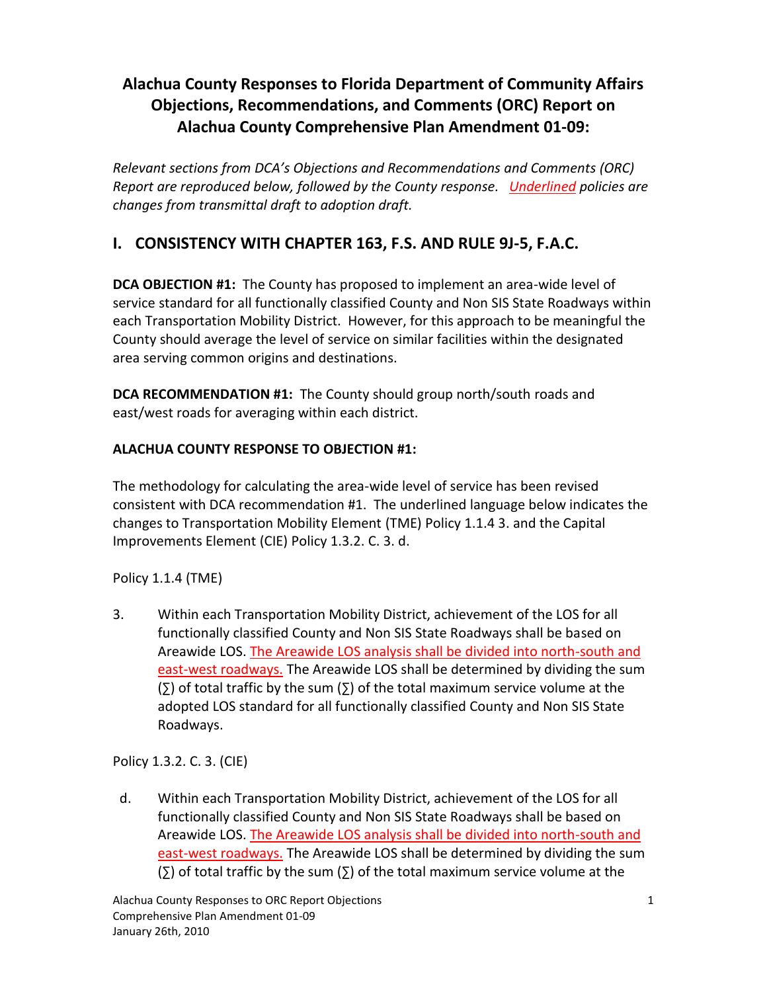# **Alachua County Responses to Florida Department of Community Affairs Objections, Recommendations, and Comments (ORC) Report on Alachua County Comprehensive Plan Amendment 01-09:**

*Relevant sections from DCA's Objections and Recommendations and Comments (ORC) Report are reproduced below, followed by the County response. Underlined policies are changes from transmittal draft to adoption draft.*

## **I. CONSISTENCY WITH CHAPTER 163, F.S. AND RULE 9J-5, F.A.C.**

**DCA OBJECTION #1:** The County has proposed to implement an area-wide level of service standard for all functionally classified County and Non SIS State Roadways within each Transportation Mobility District. However, for this approach to be meaningful the County should average the level of service on similar facilities within the designated area serving common origins and destinations.

**DCA RECOMMENDATION #1:** The County should group north/south roads and east/west roads for averaging within each district.

#### **ALACHUA COUNTY RESPONSE TO OBJECTION #1:**

The methodology for calculating the area-wide level of service has been revised consistent with DCA recommendation #1. The underlined language below indicates the changes to Transportation Mobility Element (TME) Policy 1.1.4 3. and the Capital Improvements Element (CIE) Policy 1.3.2. C. 3. d.

#### Policy 1.1.4 (TME)

3. Within each Transportation Mobility District, achievement of the LOS for all functionally classified County and Non SIS State Roadways shall be based on Areawide LOS. The Areawide LOS analysis shall be divided into north-south and east-west roadways. The Areawide LOS shall be determined by dividing the sum (∑) of total traffic by the sum (∑) of the total maximum service volume at the adopted LOS standard for all functionally classified County and Non SIS State Roadways.

## Policy 1.3.2. C. 3. (CIE)

 d. Within each Transportation Mobility District, achievement of the LOS for all functionally classified County and Non SIS State Roadways shall be based on Areawide LOS. The Areawide LOS analysis shall be divided into north-south and east-west roadways. The Areawide LOS shall be determined by dividing the sum (∑) of total traffic by the sum (∑) of the total maximum service volume at the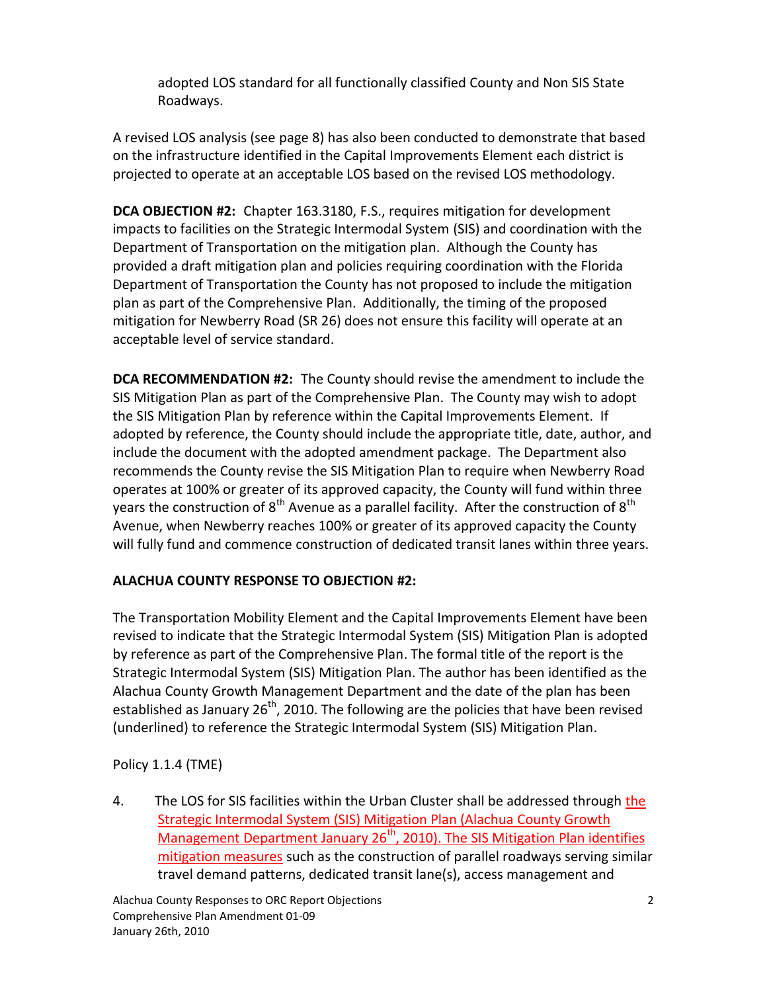adopted LOS standard for all functionally classified County and Non SIS State Roadways.

A revised LOS analysis (see page 8) has also been conducted to demonstrate that based on the infrastructure identified in the Capital Improvements Element each district is projected to operate at an acceptable LOS based on the revised LOS methodology.

**DCA OBJECTION #2:** Chapter 163.3180, F.S., requires mitigation for development impacts to facilities on the Strategic Intermodal System (SIS) and coordination with the Department of Transportation on the mitigation plan. Although the County has provided a draft mitigation plan and policies requiring coordination with the Florida Department of Transportation the County has not proposed to include the mitigation plan as part of the Comprehensive Plan. Additionally, the timing of the proposed mitigation for Newberry Road (SR 26) does not ensure this facility will operate at an acceptable level of service standard.

**DCA RECOMMENDATION #2:** The County should revise the amendment to include the SIS Mitigation Plan as part of the Comprehensive Plan. The County may wish to adopt the SIS Mitigation Plan by reference within the Capital Improvements Element. If adopted by reference, the County should include the appropriate title, date, author, and include the document with the adopted amendment package. The Department also recommends the County revise the SIS Mitigation Plan to require when Newberry Road operates at 100% or greater of its approved capacity, the County will fund within three years the construction of  $8<sup>th</sup>$  Avenue as a parallel facility. After the construction of  $8<sup>th</sup>$ Avenue, when Newberry reaches 100% or greater of its approved capacity the County will fully fund and commence construction of dedicated transit lanes within three years.

## **ALACHUA COUNTY RESPONSE TO OBJECTION #2:**

The Transportation Mobility Element and the Capital Improvements Element have been revised to indicate that the Strategic Intermodal System (SIS) Mitigation Plan is adopted by reference as part of the Comprehensive Plan. The formal title of the report is the Strategic Intermodal System (SIS) Mitigation Plan. The author has been identified as the Alachua County Growth Management Department and the date of the plan has been established as January  $26<sup>th</sup>$ , 2010. The following are the policies that have been revised (underlined) to reference the Strategic Intermodal System (SIS) Mitigation Plan.

## Policy 1.1.4 (TME)

4. The LOS for SIS facilities within the Urban Cluster shall be addressed through the Strategic Intermodal System (SIS) Mitigation Plan (Alachua County Growth Management Department January 26<sup>th</sup>, 2010). The SIS Mitigation Plan identifies mitigation measures such as the construction of parallel roadways serving similar travel demand patterns, dedicated transit lane(s), access management and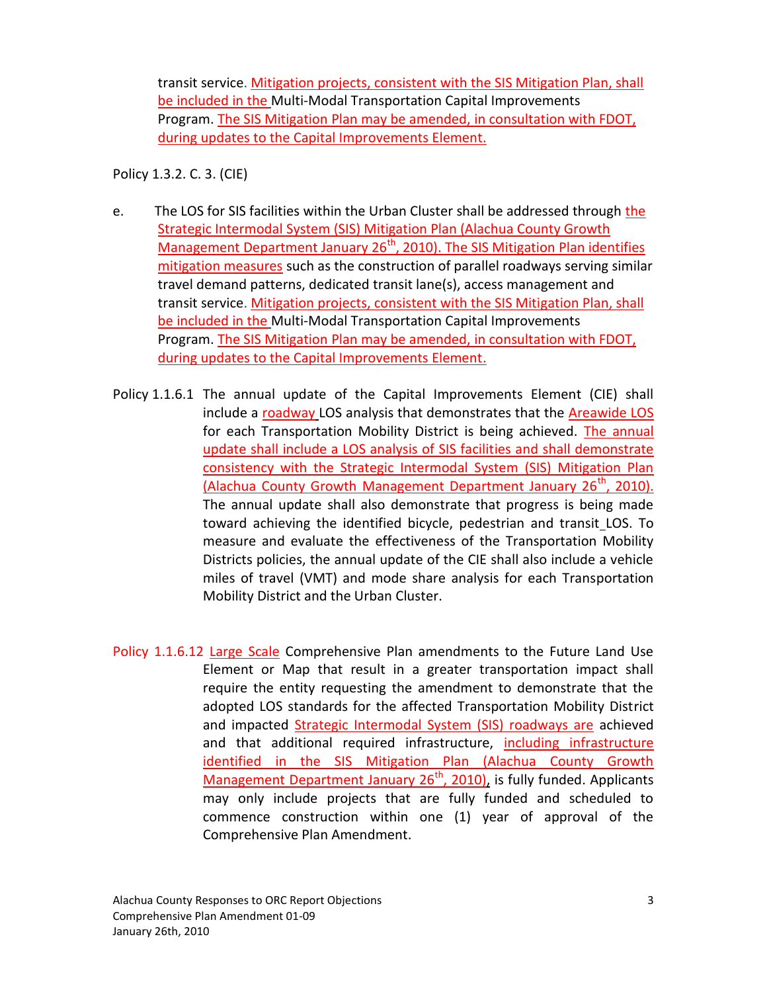transit service. Mitigation projects, consistent with the SIS Mitigation Plan, shall be included in the Multi-Modal Transportation Capital Improvements Program. The SIS Mitigation Plan may be amended, in consultation with FDOT, during updates to the Capital Improvements Element.

Policy 1.3.2. C. 3. (CIE)

- e. The LOS for SIS facilities within the Urban Cluster shall be addressed through the Strategic Intermodal System (SIS) Mitigation Plan (Alachua County Growth Management Department January  $26<sup>th</sup>$ , 2010). The SIS Mitigation Plan identifies mitigation measures such as the construction of parallel roadways serving similar travel demand patterns, dedicated transit lane(s), access management and transit service. Mitigation projects, consistent with the SIS Mitigation Plan, shall be included in the Multi-Modal Transportation Capital Improvements Program. The SIS Mitigation Plan may be amended, in consultation with FDOT, during updates to the Capital Improvements Element.
- Policy 1.1.6.1 The annual update of the Capital Improvements Element (CIE) shall include a roadway LOS analysis that demonstrates that the Areawide LOS for each Transportation Mobility District is being achieved. The annual update shall include a LOS analysis of SIS facilities and shall demonstrate consistency with the Strategic Intermodal System (SIS) Mitigation Plan (Alachua County Growth Management Department January 26<sup>th</sup>, 2010). The annual update shall also demonstrate that progress is being made toward achieving the identified bicycle, pedestrian and transit LOS. To measure and evaluate the effectiveness of the Transportation Mobility Districts policies, the annual update of the CIE shall also include a vehicle miles of travel (VMT) and mode share analysis for each Transportation Mobility District and the Urban Cluster.
- Policy 1.1.6.12 Large Scale Comprehensive Plan amendments to the Future Land Use Element or Map that result in a greater transportation impact shall require the entity requesting the amendment to demonstrate that the adopted LOS standards for the affected Transportation Mobility District and impacted Strategic Intermodal System (SIS) roadways are achieved and that additional required infrastructure, including infrastructure identified in the SIS Mitigation Plan (Alachua County Growth Management Department January  $26<sup>th</sup>$ , 2010), is fully funded. Applicants may only include projects that are fully funded and scheduled to commence construction within one (1) year of approval of the Comprehensive Plan Amendment.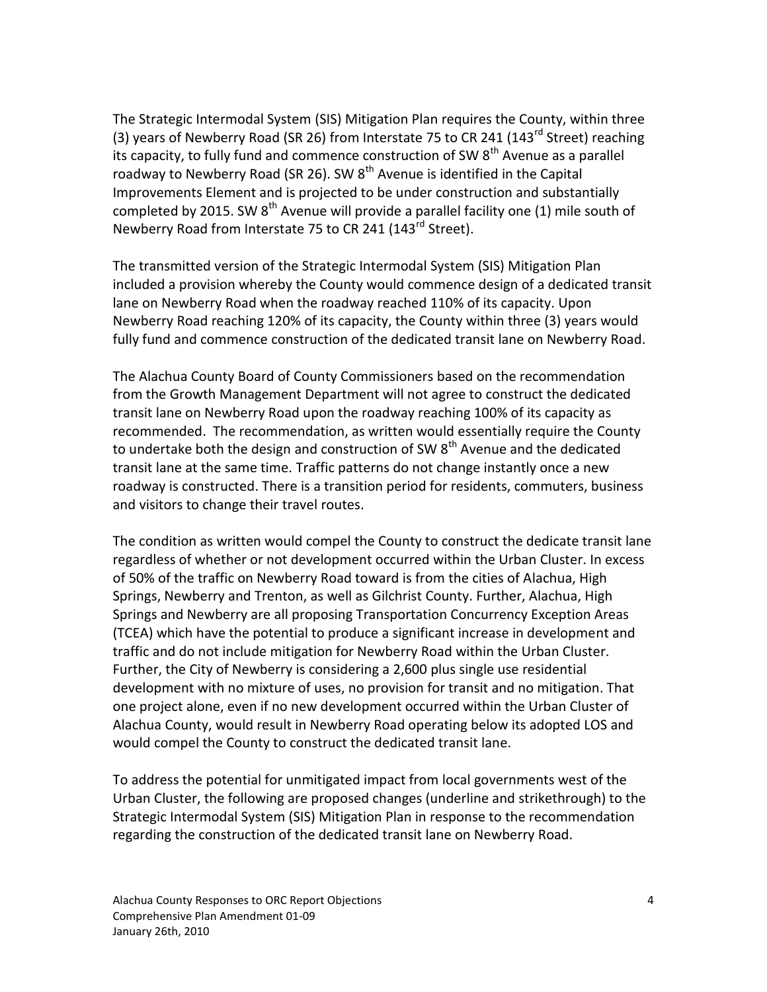The Strategic Intermodal System (SIS) Mitigation Plan requires the County, within three (3) years of Newberry Road (SR 26) from Interstate 75 to CR 241 (143 $^{rd}$  Street) reaching its capacity, to fully fund and commence construction of SW  $8<sup>th</sup>$  Avenue as a parallel roadway to Newberry Road (SR 26). SW  $8<sup>th</sup>$  Avenue is identified in the Capital Improvements Element and is projected to be under construction and substantially completed by 2015. SW  $8<sup>th</sup>$  Avenue will provide a parallel facility one (1) mile south of Newberry Road from Interstate 75 to CR 241 (143<sup>rd</sup> Street).

The transmitted version of the Strategic Intermodal System (SIS) Mitigation Plan included a provision whereby the County would commence design of a dedicated transit lane on Newberry Road when the roadway reached 110% of its capacity. Upon Newberry Road reaching 120% of its capacity, the County within three (3) years would fully fund and commence construction of the dedicated transit lane on Newberry Road.

The Alachua County Board of County Commissioners based on the recommendation from the Growth Management Department will not agree to construct the dedicated transit lane on Newberry Road upon the roadway reaching 100% of its capacity as recommended. The recommendation, as written would essentially require the County to undertake both the design and construction of SW  $8<sup>th</sup>$  Avenue and the dedicated transit lane at the same time. Traffic patterns do not change instantly once a new roadway is constructed. There is a transition period for residents, commuters, business and visitors to change their travel routes.

The condition as written would compel the County to construct the dedicate transit lane regardless of whether or not development occurred within the Urban Cluster. In excess of 50% of the traffic on Newberry Road toward is from the cities of Alachua, High Springs, Newberry and Trenton, as well as Gilchrist County. Further, Alachua, High Springs and Newberry are all proposing Transportation Concurrency Exception Areas (TCEA) which have the potential to produce a significant increase in development and traffic and do not include mitigation for Newberry Road within the Urban Cluster. Further, the City of Newberry is considering a 2,600 plus single use residential development with no mixture of uses, no provision for transit and no mitigation. That one project alone, even if no new development occurred within the Urban Cluster of Alachua County, would result in Newberry Road operating below its adopted LOS and would compel the County to construct the dedicated transit lane.

To address the potential for unmitigated impact from local governments west of the Urban Cluster, the following are proposed changes (underline and strikethrough) to the Strategic Intermodal System (SIS) Mitigation Plan in response to the recommendation regarding the construction of the dedicated transit lane on Newberry Road.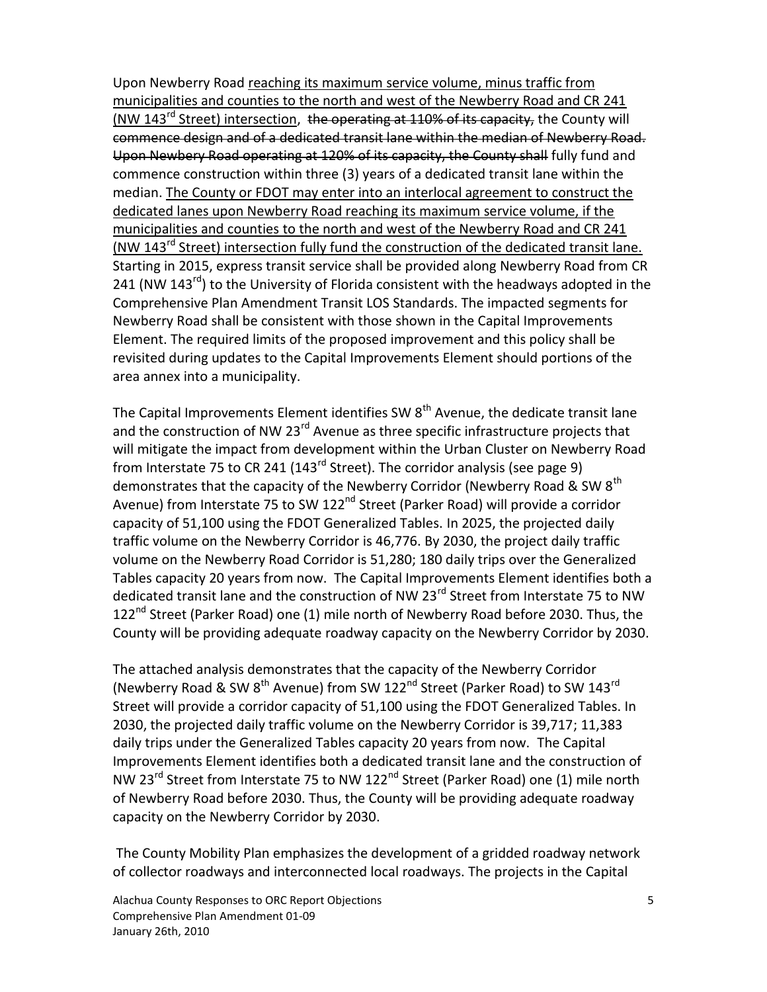Upon Newberry Road reaching its maximum service volume, minus traffic from municipalities and counties to the north and west of the Newberry Road and CR 241 (NW 143<sup>rd</sup> Street) intersection, the operating at 110% of its capacity, the County will commence design and of a dedicated transit lane within the median of Newberry Road. Upon Newbery Road operating at 120% of its capacity, the County shall fully fund and commence construction within three (3) years of a dedicated transit lane within the median. The County or FDOT may enter into an interlocal agreement to construct the dedicated lanes upon Newberry Road reaching its maximum service volume, if the municipalities and counties to the north and west of the Newberry Road and CR 241 (NW 143<sup>rd</sup> Street) intersection fully fund the construction of the dedicated transit lane. Starting in 2015, express transit service shall be provided along Newberry Road from CR 241 (NW 143<sup>rd</sup>) to the University of Florida consistent with the headways adopted in the Comprehensive Plan Amendment Transit LOS Standards. The impacted segments for Newberry Road shall be consistent with those shown in the Capital Improvements Element. The required limits of the proposed improvement and this policy shall be revisited during updates to the Capital Improvements Element should portions of the area annex into a municipality.

The Capital Improvements Element identifies SW  $8<sup>th</sup>$  Avenue, the dedicate transit lane and the construction of NW 23<sup>rd</sup> Avenue as three specific infrastructure projects that will mitigate the impact from development within the Urban Cluster on Newberry Road from Interstate 75 to CR 241 (143 $^{rd}$  Street). The corridor analysis (see page 9) demonstrates that the capacity of the Newberry Corridor (Newberry Road & SW 8<sup>th</sup> Avenue) from Interstate 75 to SW 122<sup>nd</sup> Street (Parker Road) will provide a corridor capacity of 51,100 using the FDOT Generalized Tables. In 2025, the projected daily traffic volume on the Newberry Corridor is 46,776. By 2030, the project daily traffic volume on the Newberry Road Corridor is 51,280; 180 daily trips over the Generalized Tables capacity 20 years from now. The Capital Improvements Element identifies both a dedicated transit lane and the construction of NW 23<sup>rd</sup> Street from Interstate 75 to NW 122<sup>nd</sup> Street (Parker Road) one (1) mile north of Newberry Road before 2030. Thus, the County will be providing adequate roadway capacity on the Newberry Corridor by 2030.

The attached analysis demonstrates that the capacity of the Newberry Corridor (Newberry Road & SW 8<sup>th</sup> Avenue) from SW 122<sup>nd</sup> Street (Parker Road) to SW 143<sup>rd</sup> Street will provide a corridor capacity of 51,100 using the FDOT Generalized Tables. In 2030, the projected daily traffic volume on the Newberry Corridor is 39,717; 11,383 daily trips under the Generalized Tables capacity 20 years from now. The Capital Improvements Element identifies both a dedicated transit lane and the construction of NW 23<sup>rd</sup> Street from Interstate 75 to NW 122<sup>nd</sup> Street (Parker Road) one (1) mile north of Newberry Road before 2030. Thus, the County will be providing adequate roadway capacity on the Newberry Corridor by 2030.

The County Mobility Plan emphasizes the development of a gridded roadway network of collector roadways and interconnected local roadways. The projects in the Capital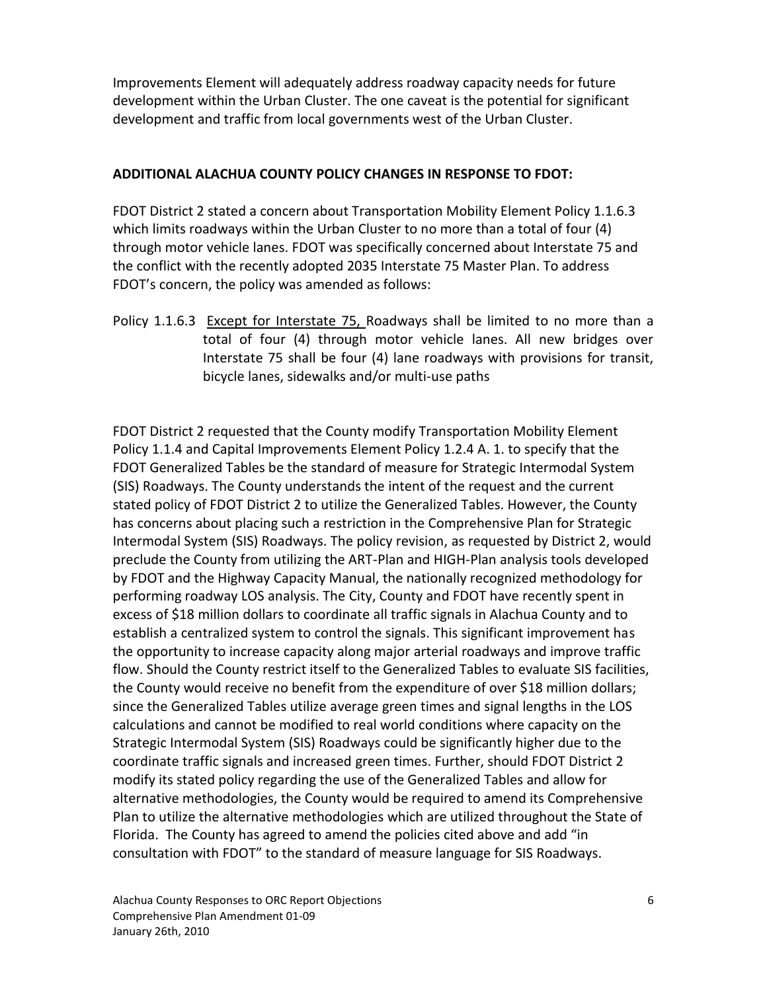Improvements Element will adequately address roadway capacity needs for future development within the Urban Cluster. The one caveat is the potential for significant development and traffic from local governments west of the Urban Cluster.

#### **ADDITIONAL ALACHUA COUNTY POLICY CHANGES IN RESPONSE TO FDOT:**

FDOT District 2 stated a concern about Transportation Mobility Element Policy 1.1.6.3 which limits roadways within the Urban Cluster to no more than a total of four (4) through motor vehicle lanes. FDOT was specifically concerned about Interstate 75 and the conflict with the recently adopted 2035 Interstate 75 Master Plan. To address FDOT's concern, the policy was amended as follows:

Policy 1.1.6.3 Except for Interstate 75, Roadways shall be limited to no more than a total of four (4) through motor vehicle lanes. All new bridges over Interstate 75 shall be four (4) lane roadways with provisions for transit, bicycle lanes, sidewalks and/or multi-use paths

FDOT District 2 requested that the County modify Transportation Mobility Element Policy 1.1.4 and Capital Improvements Element Policy 1.2.4 A. 1. to specify that the FDOT Generalized Tables be the standard of measure for Strategic Intermodal System (SIS) Roadways. The County understands the intent of the request and the current stated policy of FDOT District 2 to utilize the Generalized Tables. However, the County has concerns about placing such a restriction in the Comprehensive Plan for Strategic Intermodal System (SIS) Roadways. The policy revision, as requested by District 2, would preclude the County from utilizing the ART-Plan and HIGH-Plan analysis tools developed by FDOT and the Highway Capacity Manual, the nationally recognized methodology for performing roadway LOS analysis. The City, County and FDOT have recently spent in excess of \$18 million dollars to coordinate all traffic signals in Alachua County and to establish a centralized system to control the signals. This significant improvement has the opportunity to increase capacity along major arterial roadways and improve traffic flow. Should the County restrict itself to the Generalized Tables to evaluate SIS facilities, the County would receive no benefit from the expenditure of over \$18 million dollars; since the Generalized Tables utilize average green times and signal lengths in the LOS calculations and cannot be modified to real world conditions where capacity on the Strategic Intermodal System (SIS) Roadways could be significantly higher due to the coordinate traffic signals and increased green times. Further, should FDOT District 2 modify its stated policy regarding the use of the Generalized Tables and allow for alternative methodologies, the County would be required to amend its Comprehensive Plan to utilize the alternative methodologies which are utilized throughout the State of Florida. The County has agreed to amend the policies cited above and add "in consultation with FDOT" to the standard of measure language for SIS Roadways.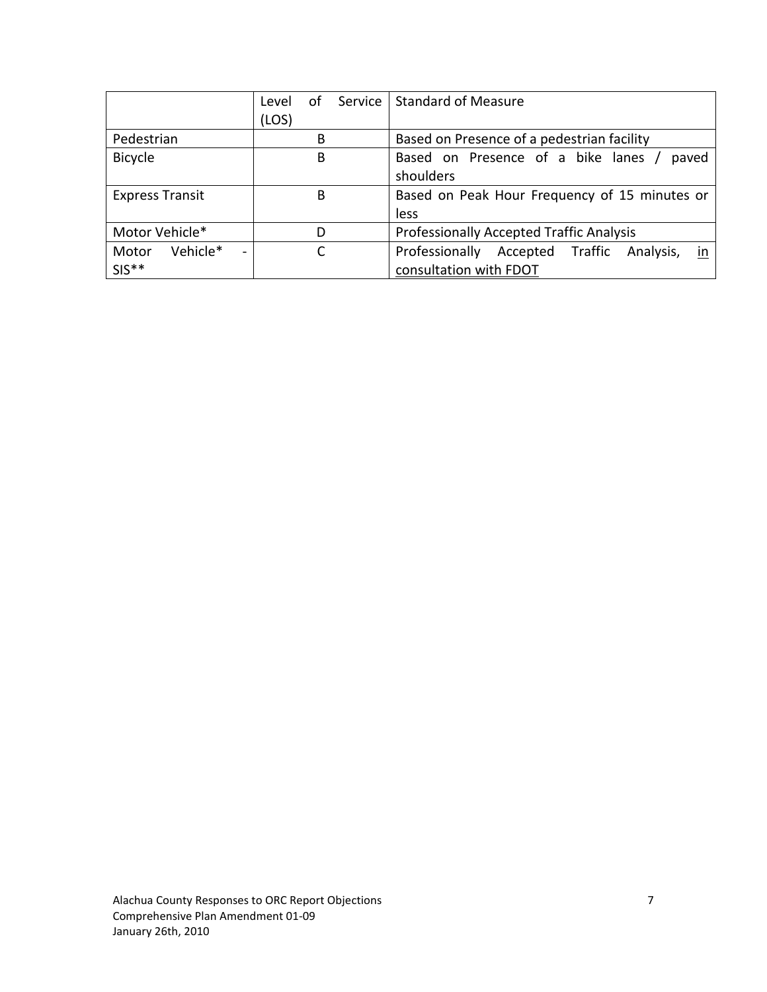|                                               | of<br>Level | Service   Standard of Measure                         |  |  |  |  |  |  |  |  |  |
|-----------------------------------------------|-------------|-------------------------------------------------------|--|--|--|--|--|--|--|--|--|
|                                               | (LOS)       |                                                       |  |  |  |  |  |  |  |  |  |
| Pedestrian                                    | B           | Based on Presence of a pedestrian facility            |  |  |  |  |  |  |  |  |  |
| <b>Bicycle</b>                                | B           | Based on Presence of a bike lanes /<br>paved          |  |  |  |  |  |  |  |  |  |
|                                               |             | shoulders                                             |  |  |  |  |  |  |  |  |  |
| <b>Express Transit</b>                        | B           | Based on Peak Hour Frequency of 15 minutes or         |  |  |  |  |  |  |  |  |  |
|                                               |             | less                                                  |  |  |  |  |  |  |  |  |  |
| Motor Vehicle*                                | D           | <b>Professionally Accepted Traffic Analysis</b>       |  |  |  |  |  |  |  |  |  |
| Vehicle*<br>Motor<br>$\overline{\phantom{0}}$ |             | Professionally<br>in<br>Accepted Traffic<br>Analysis, |  |  |  |  |  |  |  |  |  |
| $SIS**$                                       |             | consultation with FDOT                                |  |  |  |  |  |  |  |  |  |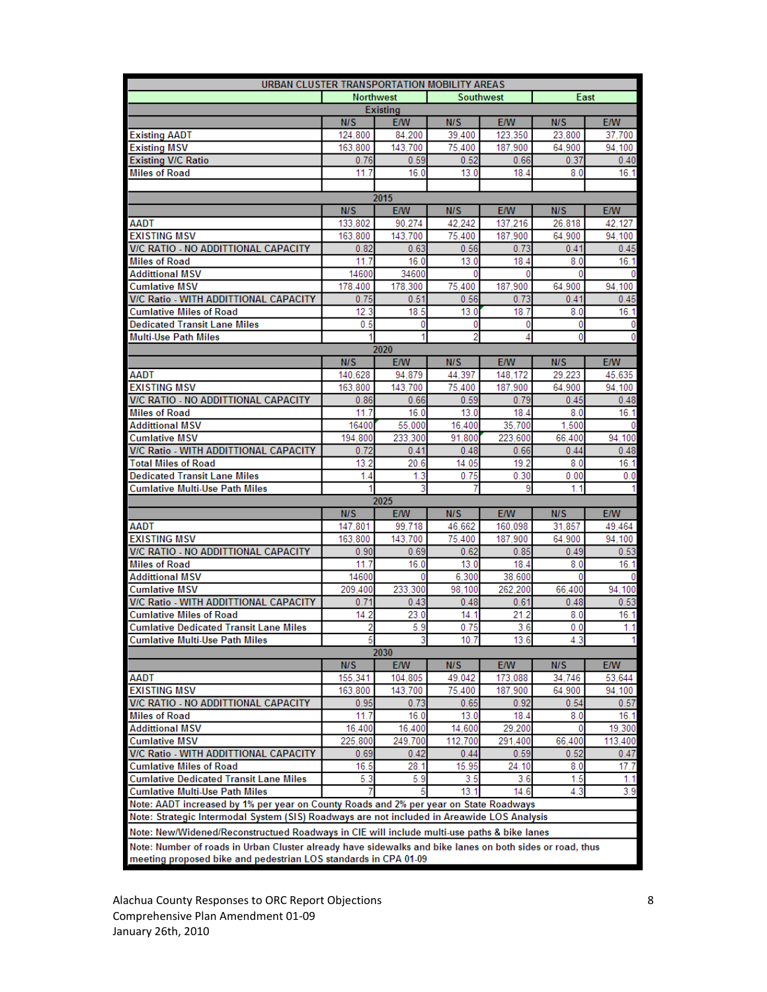| URBAN CLUSTER TRANSPORTATION MOBILITY AREAS                                                              |                  |                 |                  |            |        |            |  |  |  |  |  |
|----------------------------------------------------------------------------------------------------------|------------------|-----------------|------------------|------------|--------|------------|--|--|--|--|--|
|                                                                                                          | <b>Northwest</b> |                 | <b>Southwest</b> |            | East   |            |  |  |  |  |  |
|                                                                                                          |                  | <b>Existing</b> |                  |            |        |            |  |  |  |  |  |
|                                                                                                          | N/S              | <b>E/W</b>      | N/S              | E/W        | N/S    | E/W        |  |  |  |  |  |
| <b>Existing AADT</b>                                                                                     | 124,800          | 84,200          | 39.400           | 123,350    | 23.800 | 37,700     |  |  |  |  |  |
| <b>Existing MSV</b>                                                                                      | 163,800          | 143,700         | 75,400           | 187,900    | 64,900 | 94.100     |  |  |  |  |  |
| <b>Existing V/C Ratio</b>                                                                                | 0.76             | 0.59            | 0.52             | 0.66       | 0.37   | 0.40       |  |  |  |  |  |
| <b>Miles of Road</b>                                                                                     | 11.7             | 16.0            | 13.0             | 18.4       | 8.0    | 16.1       |  |  |  |  |  |
|                                                                                                          |                  |                 |                  |            |        |            |  |  |  |  |  |
|                                                                                                          |                  | 2015            |                  |            |        |            |  |  |  |  |  |
|                                                                                                          | N/S              | <b>E/W</b>      | N/S              | <b>E/W</b> | N/S    | <b>E/W</b> |  |  |  |  |  |
| AADT                                                                                                     | 133,802          | 90.274          | 42.242           | 137,216    | 26.818 | 42.127     |  |  |  |  |  |
| <b>EXISTING MSV</b>                                                                                      | 163,800          | 143.700         | 75,400           | 187,900    | 64.900 | 94.100     |  |  |  |  |  |
| V/C RATIO - NO ADDITTIONAL CAPACITY                                                                      | 0.82             | 0.63            | 0.56             | 0.73       | 0.41   | 0.45       |  |  |  |  |  |
| <b>Miles of Road</b>                                                                                     | 11.7             | 16.0            | 13.0             | 18.4       | 8.0    | 16.1       |  |  |  |  |  |
| <b>Addittional MSV</b>                                                                                   | 14600            | 34600           | 0                | 0          | Ō      | 0          |  |  |  |  |  |
| <b>Cumlative MSV</b>                                                                                     | 178,400          | 178,300         | 75.400           | 187,900    | 64,900 | 94,100     |  |  |  |  |  |
| V/C Ratio - WITH ADDITTIONAL CAPACITY                                                                    | 0.75             | 0.51            | 0.56             | 0.73       | 0.41   | 0.45       |  |  |  |  |  |
| <b>Cumlative Miles of Road</b>                                                                           | 12.3             | 18.5            | 13.0             | 18.7       | 8.0    | 16.1       |  |  |  |  |  |
| <b>Dedicated Transit Lane Miles</b>                                                                      | 0.5              | 0               | 0                | 0          | 0      | 0          |  |  |  |  |  |
| <b>Multi-Use Path Miles</b>                                                                              |                  |                 | 2                | 4          | 0      | 0          |  |  |  |  |  |
| 2020                                                                                                     |                  |                 |                  |            |        |            |  |  |  |  |  |
|                                                                                                          | N/S              | E/W             | N/S              | E/W        | N/S    | <b>E/W</b> |  |  |  |  |  |
| AADT                                                                                                     | 140,628          | 94,879          | 44,397           | 148,172    | 29,223 | 45,635     |  |  |  |  |  |
| <b>EXISTING MSV</b>                                                                                      | 163,800          | 143,700         | 75,400           | 187,900    | 64.900 | 94.100     |  |  |  |  |  |
| V/C RATIO - NO ADDITTIONAL CAPACITY                                                                      | 0.86             | 0.66            | 0.59             | 0.79       | 0.45   | 0.48       |  |  |  |  |  |
| <b>Miles of Road</b>                                                                                     | 11.7             | 16.0            | 13.0             | 18.4       | 8.0    | 16.1       |  |  |  |  |  |
| <b>Addittional MSV</b>                                                                                   | 16400            | 55,000          | 16,400           | 35,700     | 1.500  | 0          |  |  |  |  |  |
| <b>Cumlative MSV</b>                                                                                     | 194,800          | 233,300         | 91.800           | 223,600    | 66.400 | 94,100     |  |  |  |  |  |
| V/C Ratio - WITH ADDITTIONAL CAPACITY                                                                    | 0.72             | 0.41            | 0.48             | 0.66       | 0.44   | 0.48       |  |  |  |  |  |
| <b>Total Miles of Road</b>                                                                               | 13.2             | 20.6            | 14.05            | 19.2       | 8.0    | 16.1       |  |  |  |  |  |
| <b>Dedicated Transit Lane Miles</b>                                                                      | 1.4              | 1.3             | 0.75             | 0.30       | 0.00   | 0.0        |  |  |  |  |  |
| <b>Cumlative Multi-Use Path Miles</b>                                                                    |                  |                 |                  | 9          | 1.1    |            |  |  |  |  |  |
| 2025                                                                                                     |                  |                 |                  |            |        |            |  |  |  |  |  |
|                                                                                                          | N/S              | <b>E/W</b>      | N/S              | <b>E/W</b> | N/S    | E/W        |  |  |  |  |  |
| AADT                                                                                                     | 147,801          | 99,718          | 46,662           | 160,098    | 31,857 | 49.464     |  |  |  |  |  |
| <b>EXISTING MSV</b>                                                                                      | 163,800          | 143,700         | 75,400           | 187,900    | 64,900 | 94,100     |  |  |  |  |  |
| V/C RATIO - NO ADDITTIONAL CAPACITY                                                                      | 0.90             | 0.69            | 0.62             | 0.85       | 0.49   | 0.53       |  |  |  |  |  |
| <b>Miles of Road</b>                                                                                     | 11.7             | 16.0            | 13.0             | 18.4       | 8.0    | 16.1       |  |  |  |  |  |
| <b>Addittional MSV</b>                                                                                   | 14600            | 0               | 6.300            | 38,600     | 0      | 0          |  |  |  |  |  |
| <b>Cumlative MSV</b>                                                                                     | 209,400          | 233,300         | 98,100           | 262,200    | 66.400 | 94.100     |  |  |  |  |  |
| V/C Ratio - WITH ADDITTIONAL CAPACITY                                                                    | 0.71             | 0.43            | 0.48             | 0.61       | 0.48   | 0.53       |  |  |  |  |  |
| <b>Cumlative Miles of Road</b>                                                                           | 14.2             | 23.0            | 14.1             | 21.2       | 8.0    | 16.1       |  |  |  |  |  |
| <b>Cumlative Dedicated Transit Lane Miles</b>                                                            | 2                | 5.9             | 0.75             | 3.6        | 0.0    | 1.1        |  |  |  |  |  |
| Cumlative Multi-Use Path Miles                                                                           | 5                | 3               | 10.7             | 13.6       | 4.3    | 1          |  |  |  |  |  |
|                                                                                                          |                  | 2030            |                  |            |        |            |  |  |  |  |  |
|                                                                                                          | N/S              | <b>E/W</b>      | N/S              | <b>E/W</b> | N/S    | <b>E/W</b> |  |  |  |  |  |
| AADT                                                                                                     | 155,341          | 104,805         | 49,042           | 173,088    | 34,746 | 53,644     |  |  |  |  |  |
| <b>EXISTING MSV</b>                                                                                      | 163,800          | 143,700         | 75,400           | 187,900    | 64,900 | 94.100     |  |  |  |  |  |
| V/C RATIO - NO ADDITTIONAL CAPACITY                                                                      | 0.95             | 0.73            | 0.65             | 0.92       | 0.54   | 0.57       |  |  |  |  |  |
| <b>Miles of Road</b>                                                                                     | 11.7             | 16.0            | 13.0             | 18.4       | 8.0    | 16.1       |  |  |  |  |  |
| <b>Addittional MSV</b>                                                                                   | 16,400           | 16,400          | 14,600           | 29,200     | 0      | 19,300     |  |  |  |  |  |
| <b>Cumlative MSV</b>                                                                                     | 225,800          | 249.700         | 112,700          | 291,400    | 66,400 | 113,400    |  |  |  |  |  |
| V/C Ratio - WITH ADDITTIONAL CAPACITY                                                                    | 0.69             | 0.42            | 0.44             | 0.59       | 0.52   | 0.47       |  |  |  |  |  |
| <b>Cumlative Miles of Road</b>                                                                           | 16.5             | 28.1            | 15.95            | 24.10      | 8.0    | 17.7       |  |  |  |  |  |
| <b>Cumlative Dedicated Transit Lane Miles</b>                                                            | 5.3              | 5.9             | 3.5              | 3.6        | 1.5    | 1.1        |  |  |  |  |  |
| <b>Cumlative Multi-Use Path Miles</b>                                                                    |                  |                 | 13.1             | 14.6       | 4.3    | 3.9        |  |  |  |  |  |
| Note: AADT increased by 1% per year on County Roads and 2% per year on State Roadways                    |                  |                 |                  |            |        |            |  |  |  |  |  |
| Note: Strategic Intermodal System (SIS) Roadways are not included in Areawide LOS Analysis               |                  |                 |                  |            |        |            |  |  |  |  |  |
| Note: New/Widened/Reconstructued Roadways in CIE will include multi-use paths & bike lanes               |                  |                 |                  |            |        |            |  |  |  |  |  |
|                                                                                                          |                  |                 |                  |            |        |            |  |  |  |  |  |
| Note: Number of roads in Urban Cluster already have sidewalks and bike lanes on both sides or road, thus |                  |                 |                  |            |        |            |  |  |  |  |  |
| meeting proposed bike and pedestrian LOS standards in CPA 01-09                                          |                  |                 |                  |            |        |            |  |  |  |  |  |